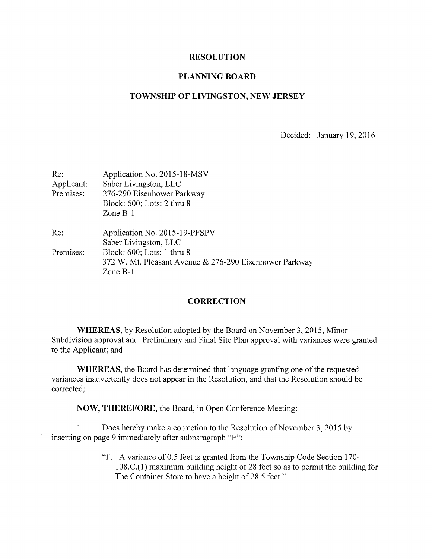## RESOLUTION

## PLANNING BOARD

## TOWNSHIP OF LIVINGSTON, NEW JERSEY

Decided: January 19, 2016

| Re:        | Application No. 2015-18-MSV                             |
|------------|---------------------------------------------------------|
| Applicant: | Saber Livingston, LLC                                   |
| Premises:  | 276-290 Eisenhower Parkway                              |
|            | Block: 600; Lots: 2 thru 8                              |
|            | Zone $B-1$                                              |
| Re:        | Application No. 2015-19-PFSPV                           |
|            | Saber Livingston, LLC                                   |
| Premises:  | Block: 600; Lots: 1 thru 8                              |
|            | 372 W. Mt. Pleasant Avenue & 276-290 Eisenhower Parkway |
|            | Zone $B-1$                                              |

## **CORRECTION**

WHEREAS, by Resolution adopted by the Board on November 3, 2015, Minor Subdivision approval and Preliminary and Final Site Plan approval with variances were granted to the Applicant; and

WHEREAS, the Board has determined that language granting one of the requested variances inadvertently does not appear in the Resolution, and that the Resolution should be corrected;

NOW, THEREFORE, the Board, in Open Conference Meeting:

1. Does hereby make a correction to the Resolution of November 3, 2015 by inserting on page 9 immediately after subparagraph "E":

> "F. A variance of 0.5 feet is granted from the Township Code Section 170- 108.C.(1) maximum building height of 28 feet so as to permit the building for The Container Store to have <sup>a</sup> height of 28.5 feet."